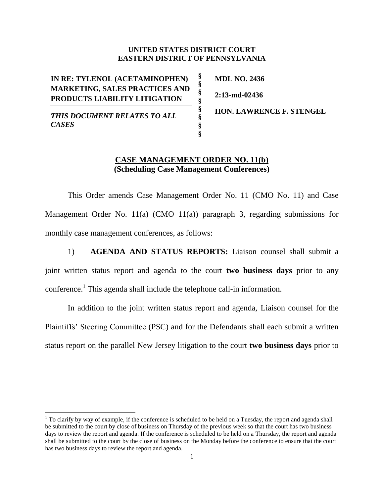## **UNITED STATES DISTRICT COURT EASTERN DISTRICT OF PENNSYLVANIA**

**§ § § § § § § §**

**IN RE: TYLENOL (ACETAMINOPHEN) MARKETING, SALES PRACTICES AND PRODUCTS LIABILITY LITIGATION**

*THIS DOCUMENT RELATES TO ALL CASES*

 $\overline{a}$ 

**MDL NO. 2436 2:13-md-02436**

**HON. LAWRENCE F. STENGEL**

## **CASE MANAGEMENT ORDER NO. 11(b) (Scheduling Case Management Conferences)**

This Order amends Case Management Order No. 11 (CMO No. 11) and Case Management Order No. 11(a) (CMO 11(a)) paragraph 3, regarding submissions for monthly case management conferences, as follows:

1) **AGENDA AND STATUS REPORTS:** Liaison counsel shall submit a joint written status report and agenda to the court **two business days** prior to any conference.<sup>1</sup> This agenda shall include the telephone call-in information.

In addition to the joint written status report and agenda, Liaison counsel for the Plaintiffs' Steering Committee (PSC) and for the Defendants shall each submit a written status report on the parallel New Jersey litigation to the court **two business days** prior to

 $1$  To clarify by way of example, if the conference is scheduled to be held on a Tuesday, the report and agenda shall be submitted to the court by close of business on Thursday of the previous week so that the court has two business days to review the report and agenda. If the conference is scheduled to be held on a Thursday, the report and agenda shall be submitted to the court by the close of business on the Monday before the conference to ensure that the court has two business days to review the report and agenda.